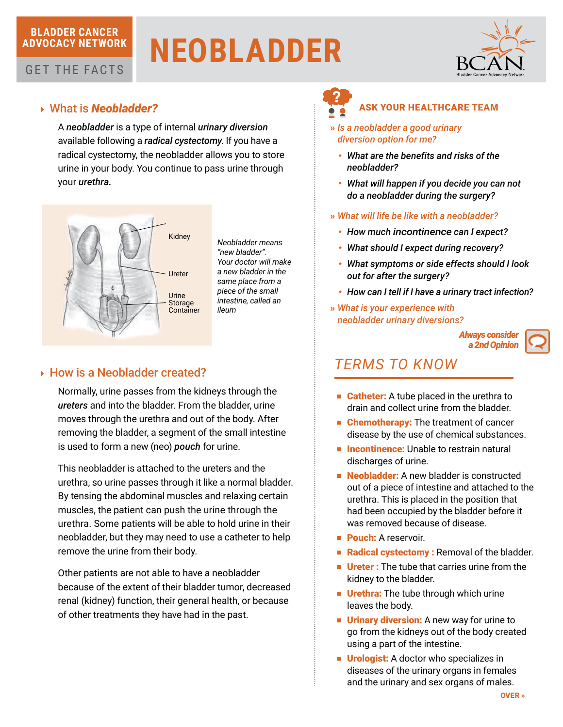## **BLADDER CANCER ADVOCACY NETWORK**

GET THE FACTS

# **NEOBLADDER**



# 4 What is *Neobladder?*

A *neobladder* is a type of internal *urinary diversion* available following a *radical cystectomy*. If you have a radical cystectomy, the neobladder allows you to store urine in your body. You continue to pass urine through your *urethra.*



# ▶ How is a Neobladder created?

Normally, urine passes from the kidneys through the *ureters* and into the bladder. From the bladder, urine moves through the urethra and out of the body. After removing the bladder, a segment of the small intestine is used to form a new (neo) *pouch* for urine.

This neobladder is attached to the ureters and the urethra, so urine passes through it like a normal bladder. By tensing the abdominal muscles and relaxing certain muscles, the patient can push the urine through the urethra. Some patients will be able to hold urine in their neobladder, but they may need to use a catheter to help remove the urine from their body.

Other patients are not able to have a neobladder because of the extent of their bladder tumor, decreased renal (kidney) function, their general health, or because of other treatments they have had in the past.

## ASK YOUR HEALTHCARE TEAM

- » *Is a neobladder a good urinary diversion option for me?*
	- • *What are the benefits and risks of the neobladder?*
	- • *What will happen if you decide you can not do a neobladder during the surgery?*
- » *What will life be like with a neobladder?*
	- • *How much incontinence can I expect?*
	- • *What should I expect during recovery?*
	- • *What symptoms or side effects should I look out for after the surgery?*
	- *How can I tell if I have a urinary tract infection?*
- » *What is your experience with neobladder urinary diversions?*





- Catheter: A tube placed in the urethra to drain and collect urine from the bladder.
- Chemotherapy: The treatment of cancer disease by the use of chemical substances.
- Incontinence: Unable to restrain natural discharges of urine.
- Neobladder: A new bladder is constructed out of a piece of intestine and attached to the urethra. This is placed in the position that had been occupied by the bladder before it was removed because of disease.
- **Pouch:** A reservoir.
- Radical cystectomy : Removal of the bladder.
- Ureter : The tube that carries urine from the kidney to the bladder.
- **Urethra:** The tube through which urine leaves the body.
- **Urinary diversion:** A new way for urine to go from the kidneys out of the body created using a part of the intestine.
- Urologist: A doctor who specializes in diseases of the urinary organs in females and the urinary and sex organs of males.